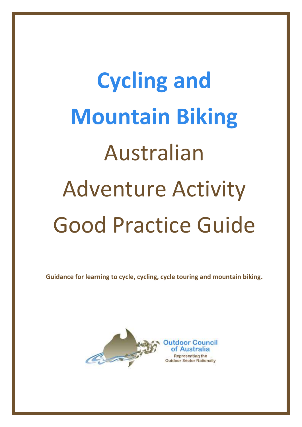# **Cycling and Mountain Biking** Australian Adventure Activity Good Practice Guide

**Guidance for learning to cycle, cycling, cycle touring and mountain biking.**

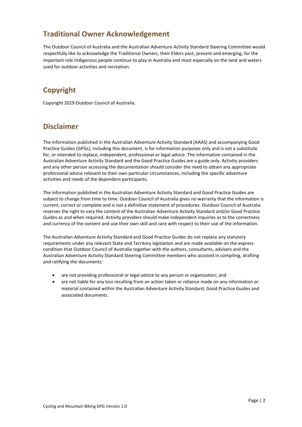# **Traditional Owner Acknowledgement**

The Outdoor Council of Australia and the Australian Adventure Activity Standard Steering Committee would respectfully like to acknowledge the Traditional Owners, their Elders past, present and emerging, for the important role Indigenous people continue to play in Australia and most especially on the land and waters used for outdoor activities and recreation.

# **Copyright**

Copyright 2019 Outdoor Council of Australia.

# **Disclaimer**

The information published in the Australian Adventure Activity Standard (AAAS) and accompanying Good Practice Guides (GPGs), including this document, is for information purposes only and is not a substitute for, or intended to replace, independent, professional or legal advice. The information contained in the Australian Adventure Activity Standard and the Good Practice Guides are a guide only. Activity providers and any other person accessing the documentation should consider the need to obtain any appropriate professional advice relevant to their own particular circumstances, including the specific adventure activities and needs of the dependent participants.

The information published in the Australian Adventure Activity Standard and Good Practice Guides are subject to change from time to time. Outdoor Council of Australia gives no warranty that the information is current, correct or complete and is not a definitive statement of procedures. Outdoor Council of Australia reserves the right to vary the content of the Australian Adventure Activity Standard and/or Good Practice Guides as and when required. Activity providers should make independent inquiries as to the correctness and currency of the content and use their own skill and care with respect to their use of the information.

The Australian Adventure Activity Standard and Good Practice Guides do not replace any statutory requirements under any relevant State and Territory legislation and are made available on the express condition that Outdoor Council of Australia together with the authors, consultants, advisers and the Australian Adventure Activity Standard Steering Committee members who assisted in compiling, drafting and ratifying the documents:

- are not providing professional or legal advice to any person or organisation; and
- are not liable for any loss resulting from an action taken or reliance made on any information or material contained within the Australian Adventure Activity Standard, Good Practice Guides and associated documents.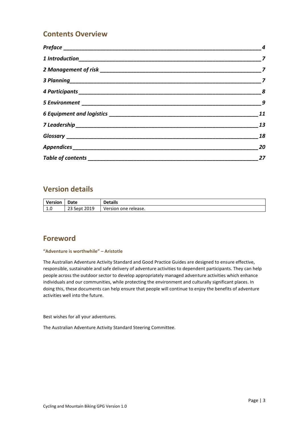# **Contents Overview**

|                               | $\boldsymbol{8}$            |
|-------------------------------|-----------------------------|
|                               | $\overline{\boldsymbol{g}}$ |
|                               | 11                          |
|                               | 13                          |
|                               | 18                          |
|                               | 20                          |
| Table of contents ___________ | 27                          |

# **Version details**

| <b>Version</b>               | Date         | <b>Details</b>       |
|------------------------------|--------------|----------------------|
| $\overline{1}$<br><b>L.U</b> | 23 Sept 2019 | Version one release. |

# **Foreword**

#### **"Adventure is worthwhile" – Aristotle**

The Australian Adventure Activity Standard and Good Practice Guides are designed to ensure effective, responsible, sustainable and safe delivery of adventure activities to dependent participants. They can help people across the outdoor sector to develop appropriately managed adventure activities which enhance individuals and our communities, while protecting the environment and culturally significant places. In doing this, these documents can help ensure that people will continue to enjoy the benefits of adventure activities well into the future.

Best wishes for all your adventures.

The Australian Adventure Activity Standard Steering Committee.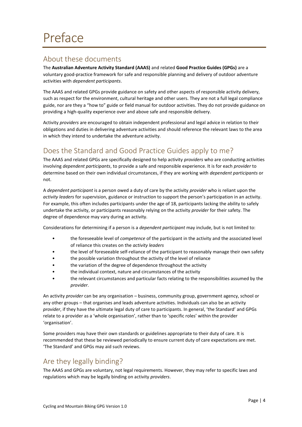# <span id="page-3-1"></span><span id="page-3-0"></span>About these documents

The **Australian Adventure Activity Standard (AAAS)** and related **Good Practice Guides (GPGs)** are a voluntary good-practice framework for safe and responsible planning and delivery of outdoor adventure activities with *dependent participants*.

The AAAS and related GPGs provide guidance on safety and other aspects of responsible activity delivery, such as respect for the environment, cultural heritage and other users. They are not a full legal compliance guide, nor are they a "how to" guide or field manual for outdoor activities. They do not provide guidance on providing a high-quality experience over and above safe and responsible delivery.

Activity *providers* are encouraged to obtain independent professional and legal advice in relation to their obligations and duties in delivering adventure activities and should reference the relevant laws to the area in which they intend to undertake the adventure activity.

# <span id="page-3-2"></span>Does the Standard and Good Practice Guides apply to me?

The AAAS and related GPGs are specifically designed to help activity *providers* who are conducting activities involving *dependent participants*, to provide a safe and responsible experience. It is for each *provider* to determine based on their own individual circumstances, if they are working with *dependent participants* or not.

A *dependent participant* is a person owed a duty of care by the activity *provider* who is reliant upon the *activity leaders* for supervision, guidance or instruction to support the person's participation in an activity. For example, this often includes participants under the age of 18, participants lacking the ability to safely undertake the activity, or participants reasonably relying on the activity *provider* for their safety. The degree of dependence may vary during an activity.

Considerations for determining if a person is a *dependent participant* may include, but is not limited to:

- the foreseeable level of *competence* of the participant in the activity and the associated level of reliance this creates on the *activity leaders*
- the level of foreseeable self-reliance of the participant to reasonably manage their own safety
- the possible variation throughout the activity of the level of reliance
- the variation of the degree of dependence throughout the activity
- the individual context, nature and circumstances of the activity
- the relevant circumstances and particular facts relating to the responsibilities assumed by the *provider*.

An activity *provider* can be any organisation – business, community group, government agency, school or any other groups – that organises and leads adventure activities. Individuals can also be an activity *provider*, if they have the ultimate legal duty of care to participants. In general, 'the Standard' and GPGs relate to a provider as a 'whole organisation', rather than to 'specific roles' within the provider 'organisation'.

Some providers may have their own standards or guidelines appropriate to their duty of care. It is recommended that these be reviewed periodically to ensure current duty of care expectations are met. 'The Standard' and GPGs may aid such reviews.

# <span id="page-3-3"></span>Are they legally binding?

The AAAS and GPGs are voluntary, not legal requirements. However, they may refer to specific laws and regulations which may be legally binding on activity *providers*.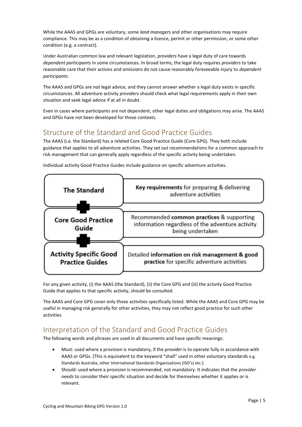While the AAAS and GPGs are voluntary, some *land manager*s and other organisations may require compliance. This may be as a condition of obtaining a licence, permit or other permission, or some other condition (e.g. a contract).

Under Australian common law and relevant legislation, *providers* have a legal duty of care towards *dependent participants* in some circumstances. In broad terms, the legal duty requires *providers* to take reasonable care that their actions and omissions do not cause reasonably foreseeable injury to *dependent participants*.

The AAAS and GPGs are not legal advice, and they cannot answer whether a legal duty exists in specific circumstances. All adventure activity *providers* should check what legal requirements apply in their own situation and seek legal advice if at all in doubt.

Even in cases where participants are not dependent, other legal duties and obligations may arise. The AAAS and GPGs have not been developed for those contexts.

# <span id="page-4-0"></span>Structure of the Standard and Good Practice Guides

The AAAS (i.e. the Standard) has a related Core Good Practice Guide (Core GPG). They both include guidance that applies to all adventure activities. They set out recommendations for a common approach to risk management that can generally apply regardless of the specific activity being undertaken.



Individual activity Good Practice Guides include guidance on specific adventure activities.

For any given activity, (i) the AAAS (the Standard), (ii) the Core GPG and (iii) the activity Good Practice Guide that applies to that specific activity, should be consulted.

The AAAS and Core GPG cover only those activities specifically listed. While the AAAS and Core GPG may be useful in managing *risk* generally for other activities, they may not reflect good practice for such other activities.

# <span id="page-4-1"></span>Interpretation of the Standard and Good Practice Guides

The following words and phrases are used in all documents and have specific meanings:

- Must: used where a provision is mandatory, if the *provider* is to operate fully in accordance with AAAS or GPGs. (This is equivalent to the keyword "shall" used in other voluntary standards e.g. Standards Australia, other International Standards Organisations (ISO's) etc.)
- Should: used where a provision is recommended, not mandatory. It indicates that the *provider* needs to consider their specific situation and decide for themselves whether it applies or is relevant.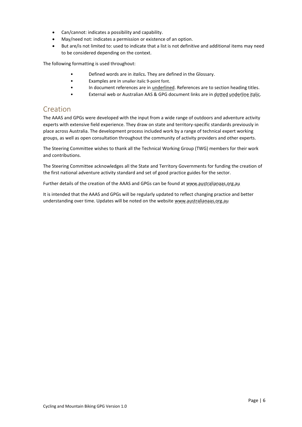- Can/cannot: indicates a possibility and capability.
- May/need not: indicates a permission or existence of an option.
- But are/is not limited to: used to indicate that a list is not definitive and additional items may need to be considered depending on the context.

The following formatting is used throughout:

- Defined words are in *italics.* They are defined in the [Glossary.](#page-17-0)
- Examples are in smaller italic 9-point font.
- In document references are in underlined. References are to section heading titles.
- External web or Australian AAS & GPG document links are in dotted underline italic.

## <span id="page-5-0"></span>Creation

The AAAS and GPGs were developed with the input from a wide range of outdoors and adventure activity experts with extensive field experience. They draw on state and territory-specific standards previously in place across Australia. The development process included work by a range of technical expert working groups, as well as open consultation throughout the community of activity providers and other experts.

The Steering Committee wishes to thank all the Technical Working Group (TWG) members for their work and contributions.

The Steering Committee acknowledges all the State and Territory Governments for funding the creation of the first national adventure activity standard and set of good practice guides for the sector.

Further details of the creation of the AAAS and GPGs can be found at www.australianaas.org.au

It is intended that the AAAS and GPGs will be regularly updated to reflect changing practice and better understanding over time. Updates will be noted on the website www.australianaas.org.au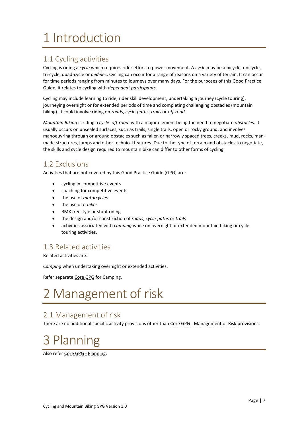# <span id="page-6-0"></span>1 Introduction

# <span id="page-6-3"></span>1.1 Cycling activities

Cycling is riding a *cycle* which requires rider effort to power movement. A *cycle* may be a bicycle, unicycle, tri-cycle, quad-cycle or *pedelec*. Cycling can occur for a range of reasons on a variety of terrain. It can occur for time periods ranging from minutes to journeys over many days. For the purposes of this Good Practice Guide, it relates to cycling with *dependent participants*.

Cycling may include learning to ride, rider skill development, undertaking a journey (cycle touring), journeying overnight or for extended periods of time and completing challenging obstacles (mountain biking). It could involve riding on *roads*, *cycle-paths*, *trails* or *off-road*.

*Mountain Biking* is riding a *cycle* '*off-road*' with a major element being the need to negotiate *obstacles*. It usually occurs on unsealed surfaces, such as trails, single trails, open or rocky ground, and involves manoeuvring through or around obstacles such as fallen or narrowly spaced trees, creeks, mud, rocks, manmade structures, jumps and other technical features. Due to the type of terrain and obstacles to negotiate, the skills and cycle design required to mountain bike can differ to other forms of cycling.

# <span id="page-6-4"></span>1.2 Exclusions

Activities that are not covered by this Good Practice Guide (GPG) are:

- cycling in competitive events
- coaching for competitive events
- the use of *motorcycles*
- the use of *e-bikes*
- BMX freestyle or stunt riding
- the design and/or construction of *roads*, *cycle-paths* or *trails*
- activities associated with *camping* while on overnight or extended mountain biking or cycle touring activities.

# <span id="page-6-5"></span>1.3 Related activities

Related activities are:

*Camping* when undertaking overnight or extended activities.

Refer separate Core GPG for Camping.

# <span id="page-6-1"></span>2 Management of risk

# <span id="page-6-6"></span>2.1 Management of risk

There are no additional specific activity provisions other than Core GPG - Management of Risk provisions.

# <span id="page-6-2"></span>3 Planning

Also refer Core GPG - Planning.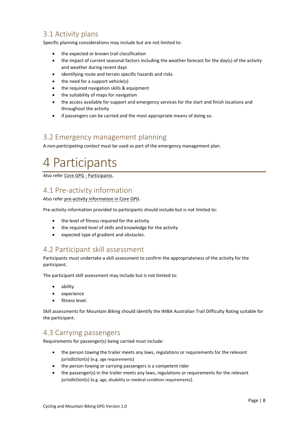# <span id="page-7-1"></span>3.1 Activity plans

Specific planning considerations may include but are not limited to:

- the expected or known trail classification
- the impact of current seasonal factors including the weather forecast for the day(s) of the activity and weather during recent days
- identifying route and terrain specific hazards and risks
- the need for a support vehicle(s)
- the required navigation skills & equipment
- the suitability of maps for navigation
- the access available for support and emergency services for the start and finish locations and throughout the activity
- if passengers can be carried and the most appropriate means of doing so.

### <span id="page-7-2"></span>3.2 Emergency management planning

A *non-participating contact* must be used as part of the emergency management plan.

# <span id="page-7-0"></span>4 Participants

Also refer Core GPG - Participants.

# <span id="page-7-3"></span>4.1 Pre-activity information

Also refer pre-activity information in Core GPG.

Pre-activity information provided to participants should include but is not limited to:

- the level of fitness required for the activity
- the required level of skills and knowledge for the activity
- expected type of gradient and obstacles.

### <span id="page-7-4"></span>4.2 Participant skill assessment

Participants must undertake a skill assessment to confirm the appropriateness of the activity for the participant.

The participant skill assessment may include but is not limited to:

- ability
- experience
- fitness level.

Skill assessments for Mountain Biking should identify the IMBA Australian Trail Difficulty Rating suitable for the participant.

# <span id="page-7-5"></span>4.3 Carrying passengers

Requirements for passenger(s) being carried must include:

- the person towing the trailer meets any laws, regulations or requirements for the relevant jurisdiction(s) (e.g. age requirements)
- the person towing or carrying passengers is a competent rider
- the passenger(s) in the trailer meets any laws, regulations or requirements for the relevant jurisdiction(s) (e.g. age, disability or medical condition requirements).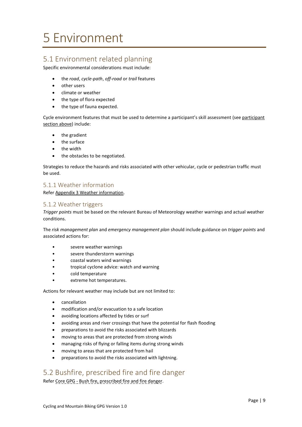# <span id="page-8-0"></span>5 Environment

# <span id="page-8-1"></span>5.1 Environment related planning

Specific environmental considerations must include:

- the *road*, *cycle-path*, *off-road* or *trail* features
- other users
- climate or weather
- the type of flora expected
- the type of fauna expected.

Cycle environment features that must be used to determine a participant's skill assessment (se[e participant](#page-7-0)  [section](#page-7-0) above) include:

- the gradient
- the surface
- the width
- the obstacles to be negotiated.

Strategies to reduce the hazards and risks associated with other vehicular, cycle or pedestrian traffic must be used.

#### <span id="page-8-2"></span>5.1.1 Weather information

Refer Appendix 3 [Weather information.](#page-22-0)

#### <span id="page-8-3"></span>5.1.2 Weather triggers

*Trigger points* must be based on the relevant Bureau of Meteorology weather warnings and actual weather conditions.

The *risk management plan* and *emergency management plan* should include guidance on *trigger points* and associated actions for:

- severe weather warnings
- severe thunderstorm warnings
- coastal waters wind warnings
- tropical cyclone advice: watch and warning
- cold temperature
- extreme hot temperatures.

Actions for relevant weather may include but are not limited to:

- cancellation
- modification and/or evacuation to a safe location
- avoiding locations affected by tides or surf
- avoiding areas and river crossings that have the potential for flash flooding
- preparations to avoid the risks associated with blizzards
- moving to areas that are protected from strong winds
- managing risks of flying or falling items during strong winds
- moving to areas that are protected from hail
- preparations to avoid the risks associated with lightning.

# <span id="page-8-4"></span>5.2 Bushfire, prescribed fire and fire danger

Refer Core GPG - Bush fire, prescribed fire and fire danger.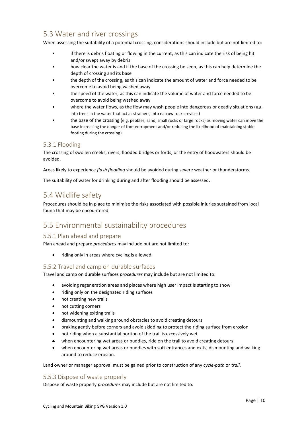# <span id="page-9-0"></span>5.3 Water and river crossings

When assessing the suitability of a potential crossing, considerations should include but are not limited to:

- if there is debris floating or flowing in the current, as this can indicate the risk of being hit and/or swept away by debris
- how clear the water is and if the base of the crossing be seen, as this can help determine the depth of crossing and its base
- the depth of the crossing, as this can indicate the amount of water and force needed to be overcome to avoid being washed away
- the speed of the water, as this can indicate the volume of water and force needed to be overcome to avoid being washed away
- where the water flows, as the flow may wash people into dangerous or deadly situations (e.g. into trees in the water that act as strainers, into narrow rock crevices)
- the base of the crossing (e.g. pebbles, sand, small rocks or large rocks) as moving water can move the base increasing the danger of foot entrapment and/or reducing the likelihood of maintaining stable footing during the crossing).

#### <span id="page-9-1"></span>5.3.1 Flooding

The crossing of swollen creeks, rivers, flooded bridges or fords, or the entry of floodwaters should be avoided.

Areas likely to experience *flash flooding* should be avoided during severe weather or thunderstorms.

The suitability of water for drinking during and after flooding should be assessed.

# <span id="page-9-2"></span>5.4 Wildlife safety

Procedures should be in place to minimise the risks associated with possible injuries sustained from local fauna that may be encountered.

## <span id="page-9-3"></span>5.5 Environmental sustainability procedures

#### <span id="page-9-4"></span>5.5.1 Plan ahead and prepare

Plan ahead and prepare *procedures* may include but are not limited to:

• riding only in areas where cycling is allowed.

#### <span id="page-9-5"></span>5.5.2 Travel and camp on durable surfaces

Travel and camp on durable surfaces *procedures* may include but are not limited to:

- avoiding regeneration areas and places where high user impact is starting to show
- riding only on the designated riding surfaces
- not creating new trails
- not cutting corners
- not widening exiting trails
- dismounting and walking around obstacles to avoid creating detours
- braking gently before corners and avoid skidding to protect the riding surface from erosion
- not riding when a substantial portion of the trail is excessively wet
- when encountering wet areas or puddles, ride on the trail to avoid creating detours
- when encountering wet areas or puddles with soft entrances and exits, dismounting and walking around to reduce erosion.

Land owner or manager approval must be gained prior to construction of any *cycle-path* or *trail*.

#### <span id="page-9-6"></span>5.5.3 Dispose of waste properly

Dispose of waste properly *procedures* may include but are not limited to: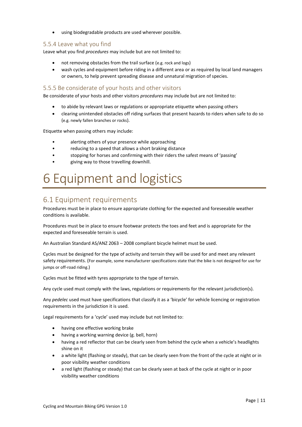• using biodegradable products are used wherever possible.

#### <span id="page-10-1"></span>5.5.4 Leave what you find

Leave what you find *procedures* may include but are not limited to:

- not removing obstacles from the trail surface (e.g. rock and logs)
- wash cycles and equipment before riding in a different area or as required by local land managers or owners, to help prevent spreading disease and unnatural migration of species.

#### <span id="page-10-2"></span>5.5.5 Be considerate of your hosts and other visitors

Be considerate of your hosts and other visitors *procedures* may include but are not limited to:

- to abide by relevant laws or regulations or appropriate etiquette when passing others
- clearing unintended obstacles off riding surfaces that present hazards to riders when safe to do so (e.g. newly fallen branches or rocks).

Etiquette when passing others may include:

- alerting others of your presence while approaching
- reducing to a speed that allows a short braking distance
- stopping for horses and confirming with their riders the safest means of 'passing'
- giving way to those travelling downhill.

# <span id="page-10-0"></span>6 Equipment and logistics

# <span id="page-10-3"></span>6.1 Equipment requirements

Procedures must be in place to ensure appropriate clothing for the expected and foreseeable weather conditions is available.

Procedures must be in place to ensure footwear protects the toes and feet and is appropriate for the expected and foreseeable terrain is used.

An Australian Standard AS/ANZ 2063 – 2008 compliant bicycle helmet must be used.

Cycles must be designed for the type of activity and terrain they will be used for and meet any relevant safety requirements. (For example, some manufacturer specifications state that the bike is not designed for use for jumps or off-road riding.)

Cycles must be fitted with tyres appropriate to the type of terrain.

Any cycle used must comply with the laws, regulations or requirements for the relevant jurisdiction(s).

Any *pedelec* used must have specifications that classify it as a 'bicycle' for vehicle licencing or registration requirements in the jurisdiction it is used.

Legal requirements for a 'cycle' used may include but not limited to:

- having one effective working brake
- having a working warning device (g. bell, horn)
- having a red reflector that can be clearly seen from behind the cycle when a vehicle's headlights shine on it
- a white light (flashing or steady), that can be clearly seen from the front of the cycle at night or in poor visibility weather conditions
- a red light (flashing or steady) that can be clearly seen at back of the cycle at night or in poor visibility weather conditions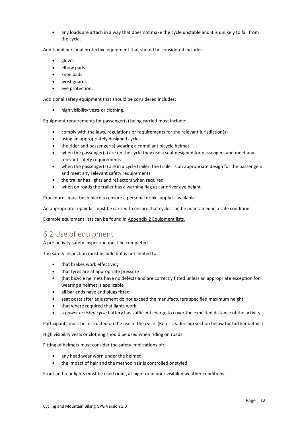• any loads are attach in a way that does not make the cycle unstable and it is unlikely to fall from the cycle.

Additional personal protective equipment that should be considered includes:

- gloves
- elbow pads
- knee pads
- wrist guards
- eye protection.

Additional safety equipment that should be considered includes:

• high visibility vests or clothing.

Equipment requirements for passenger(s) being carried must include:

- comply with the laws, regulations or requirements for the relevant jurisdiction(s)
- using an appropriately designed cycle
- the rider and passenger(s) wearing a compliant bicycle helmet
- when the passenger(s) are on the cycle they use a seat designed for passengers and meet any relevant safety requirements
- when the passenger(s) are in a cycle trailer, the trailer is an appropriate design for the passengers and meet any relevant safety requirements
- the trailer has lights and reflectors when required
- when on roads the trailer has a warning flag at car driver eye height.

Procedures must be in place to ensure a personal drink supply is available.

An appropriate repair kit must be carried to ensure that cycles can be maintained in a safe condition.

Example equipment lists can be found in Appendix 2 [Equipment lists.](#page-20-0)

# <span id="page-11-0"></span>6.2 Use of equipment

A pre-activity safety inspection must be completed.

The safety inspection must include but is not limited to:

- that brakes work effectively
- that tyres are at appropriate pressure
- that bicycle helmets have no defects and are correctly fitted unless an appropriate exception for wearing a helmet is applicable
- all bar ends have end plugs fitted
- seat posts after adjustment do not exceed the manufacturers specified maximum height
- that where required that lights work
- a *power assisted cycle* battery has sufficient charge to cover the expected distance of the activity.

Participants must be instructed on the use of the cycle. (Refer [Leadership section](#page-12-0) below for further details)

High visibility vests or clothing should be used when riding on roads.

Fitting of helmets must consider the safety implications of:

- any head wear worn under the helmet
- the impact of hair and the method hair is controlled or styled.

Front and rear lights must be used riding at night or in poor visibility weather conditions.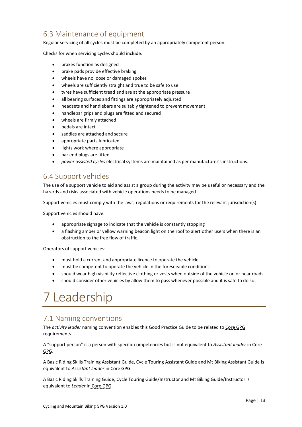# <span id="page-12-1"></span>6.3 Maintenance of equipment

Regular servicing of all cycles must be completed by an appropriately competent person.

Checks for when servicing cycles should include:

- brakes function as designed
- brake pads provide effective braking
- wheels have no loose or damaged spokes
- wheels are sufficiently straight and true to be safe to use
- tyres have sufficient tread and are at the appropriate pressure
- all bearing surfaces and fittings are appropriately adjusted
- headsets and handlebars are suitably tightened to prevent movement
- handlebar grips and plugs are fitted and secured
- wheels are firmly attached
- pedals are intact
- saddles are attached and secure
- appropriate parts lubricated
- lights work where appropriate
- bar end plugs are fitted
- *power assisted cycles* electrical systems are maintained as per manufacturer's instructions.

### <span id="page-12-2"></span>6.4 Support vehicles

The use of a support vehicle to aid and assist a group during the activity may be useful or necessary and the hazards and risks associated with vehicle operations needs to be managed.

Support vehicles must comply with the laws, regulations or requirements for the relevant jurisdiction(s).

Support vehicles should have:

- appropriate signage to indicate that the vehicle is constantly stopping
- a flashing amber or yellow warning beacon light on the roof to alert other users when there is an obstruction to the free flow of traffic.

Operators of support vehicles:

- must hold a current and appropriate licence to operate the vehicle
- must be competent to operate the vehicle in the foreseeable conditions
- should wear high visibility reflective clothing or vests when outside of the vehicle on or near roads
- should consider other vehicles by allow them to pass whenever possible and it is safe to do so.

# <span id="page-12-0"></span>7 Leadership

## <span id="page-12-3"></span>7.1 Naming conventions

The *activity leader* naming convention enables this Good Practice Guide to be related to Core GPG requirements.

A "support person" is a person with specific competencies but is not equivalent to *Assistant leader* in Core GPG.

A Basic Riding Skills Training Assistant Guide, Cycle Touring Assistant Guide and Mt Biking Assistant Guide is equivalent to *Assistant leader* in Core GPG.

A Basic Riding Skills Training Guide, Cycle Touring Guide/Instructor and Mt Biking Guide/Instructor is equivalent to *Leader* in Core GPG.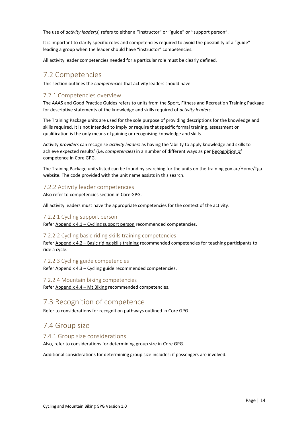The use of *activity leader(s)* refers to either a "instructor" or "guide" or "support person".

It is important to clarify specific roles and competencies required to avoid the possibility of a "guide" leading a group when the leader should have "instructor" competencies.

All activity leader competencies needed for a particular role must be clearly defined.

#### <span id="page-13-0"></span>7.2 Competencies

This section outlines the *competencies* that activity leaders should have.

#### <span id="page-13-1"></span>7.2.1 Competencies overview

The AAAS and Good Practice Guides refers to units from the Sport, Fitness and Recreation Training Package for descriptive statements of the knowledge and skills required of *activity leaders*.

The Training Package units are used for the sole purpose of providing descriptions for the knowledge and skills required. It is not intended to imply or require that specific formal training, assessment or qualification is the only means of gaining or recognising knowledge and skills.

Activity *providers* can recognise *activity leaders* as having the 'ability to apply knowledge and skills to achieve expected results' (i.e. *competencies*) in a number of different ways as per Recognition of competence in Core GPG.

The Training Package units listed can be found by searching for the units on the training.gov.au/Home/Tga website. The code provided with the unit name assists in this search.

#### <span id="page-13-2"></span>7.2.2 Activity leader competencies

Also refer to competencies section in Core GPG.

All activity leaders must have the appropriate competencies for the context of the activity.

#### 7.2.2.1 Cycling support person

Refer Appendix 4.1 - [Cycling support person](#page-23-0) recommended competencies.

#### 7.2.2.2 Cycling basic riding skills training competencies

Refer Appendix 4.2 – [Basic riding skills training](#page-23-1) recommended competencies for teaching participants to ride a cycle.

7.2.2.3 Cycling guide competencies

Refer [Appendix 4.3](#page-24-0) – Cycling guide recommended competencies.

#### 7.2.2.4 Mountain biking competencies

Refer [Appendix 4.4](#page-25-0) – Mt Biking recommended competencies.

### <span id="page-13-3"></span>7.3 Recognition of competence

Refer to considerations for recognition pathways outlined in Core GPG.

### <span id="page-13-4"></span>7.4 Group size

#### <span id="page-13-5"></span>7.4.1 Group size considerations

Also, refer to considerations for determining group size in Core GPG.

Additional considerations for determining group size includes: if passengers are involved.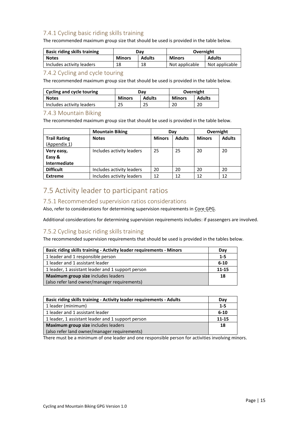### <span id="page-14-0"></span>7.4.1 Cycling basic riding skills training

The recommended maximum group size that should be used is provided in the table below.

| <b>Basic riding skills training</b> | Dav                            |    | Overnight      |                |
|-------------------------------------|--------------------------------|----|----------------|----------------|
| <b>Notes</b>                        | <b>Minors</b><br><b>Adults</b> |    | <b>Minors</b>  | <b>Adults</b>  |
| Includes activity leaders           | 18                             | 18 | Not applicable | Not applicable |

#### <span id="page-14-1"></span>7.4.2 Cycling and cycle touring

The recommended maximum group size that should be used is provided in the table below.

| Cycling and cycle touring | Dav           |               | Overnight     |               |  |
|---------------------------|---------------|---------------|---------------|---------------|--|
| <b>Notes</b>              | <b>Minors</b> | <b>Adults</b> | <b>Minors</b> | <b>Adults</b> |  |
| Includes activity leaders | 25            | 25            | 20            | 20            |  |

#### <span id="page-14-2"></span>7.4.3 Mountain Biking

The recommended maximum group size that should be used is provided in the table below.

|                     | <b>Mountain Biking</b>    | Day           |               | Overnight     |               |
|---------------------|---------------------------|---------------|---------------|---------------|---------------|
| <b>Trail Rating</b> | <b>Notes</b>              | <b>Minors</b> | <b>Adults</b> | <b>Minors</b> | <b>Adults</b> |
| (Appendix 1)        |                           |               |               |               |               |
| Very easy,          | Includes activity leaders | 25            | 25            | 20            | 20            |
| Easy &              |                           |               |               |               |               |
| <b>Intermediate</b> |                           |               |               |               |               |
| <b>Difficult</b>    | Includes activity leaders | 20            | 20            | 20            | 20            |
| <b>Extreme</b>      | Includes activity leaders | 12            | 12            | 12            | 12            |

# <span id="page-14-3"></span>7.5 Activity leader to participant ratios

#### <span id="page-14-4"></span>7.5.1 Recommended supervision ratios considerations

Also, refer to considerations for determining supervision requirements in Core GPG.

Additional considerations for determining supervision requirements includes: if passengers are involved.

#### <span id="page-14-5"></span>7.5.2 Cycling basic riding skills training

The recommended supervision requirements that should be used is provided in the tables below.

| <b>Basic riding skills training - Activity leader requirements - Minors</b> | Day      |
|-----------------------------------------------------------------------------|----------|
| 1 leader and 1 responsible person                                           | $1 - 5$  |
| 1 leader and 1 assistant leader                                             | $6 - 10$ |
| 1 leader, 1 assistant leader and 1 support person                           | 11-15    |
| Maximum group size includes leaders                                         | 18       |
| (also refer land owner/manager requirements)                                |          |

| <b>Basic riding skills training - Activity leader requirements - Adults</b> | Day      |
|-----------------------------------------------------------------------------|----------|
| 1 leader (minimum)                                                          | $1 - 5$  |
| 1 leader and 1 assistant leader                                             | $6 - 10$ |
| 1 leader, 1 assistant leader and 1 support person                           | 11-15    |
| Maximum group size includes leaders                                         | 18       |
| (also refer land owner/manager requirements)                                |          |

There must be a minimum of one leader and one responsible person for activities involving minors.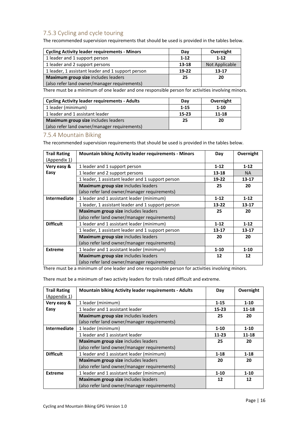### <span id="page-15-0"></span>7.5.3 Cycling and cycle touring

The recommended supervision requirements that should be used is provided in the tables below.

| <b>Cycling Activity leader requirements - Minors</b> | Day      | Overnight      |
|------------------------------------------------------|----------|----------------|
| 1 leader and 1 support person                        | $1 - 12$ | $1 - 12$       |
| 1 leader and 2 support persons                       | 13-18    | Not Applicable |
| 1 leader, 1 assistant leader and 1 support person    | $19-22$  | 13-17          |
| Maximum group size includes leaders                  | 25       | 20             |
| (also refer land owner/manager requirements)         |          |                |

There must be a minimum of one leader and one responsible person for activities involving minors.

| <b>Cycling Activity leader requirements - Adults</b> | Dav      | Overnight |
|------------------------------------------------------|----------|-----------|
| 1 leader (minimum)                                   | $1 - 15$ | $1 - 10$  |
| 1 leader and 1 assistant leader                      | 15-23    | 11-18     |
| Maximum group size includes leaders                  | 25       | 20        |
| (also refer land owner/manager requirements)         |          |           |

#### <span id="page-15-1"></span>7.5.4 Mountain Biking

The recommended supervision requirements that should be used is provided in the tables below.

| <b>Trail Rating</b> | <b>Mountain biking Activity leader requirements - Minors</b> | Day       | Overnight |
|---------------------|--------------------------------------------------------------|-----------|-----------|
| (Appendix 1)        |                                                              |           |           |
| Very easy &         | 1 leader and 1 support person                                | $1 - 12$  | $1 - 12$  |
| Easy                | 1 leader and 2 support persons                               | $13 - 18$ | <b>NA</b> |
|                     | 1 leader, 1 assistant leader and 1 support person            | 19-22     | $13 - 17$ |
|                     | Maximum group size includes leaders                          | 25        | 20        |
|                     | (also refer land owner/manager requirements)                 |           |           |
| <b>Intermediate</b> | 1 leader and 1 assistant leader (minimum)                    | $1 - 12$  | $1 - 12$  |
|                     | 1 leader, 1 assistant leader and 1 support person            | $13 - 22$ | 13-17     |
|                     | Maximum group size includes leaders                          | 25        | 20        |
|                     | (also refer land owner/manager requirements)                 |           |           |
| <b>Difficult</b>    | 1 leader and 1 assistant leader (minimum)                    | $1 - 12$  | $1 - 12$  |
|                     | 1 leader, 1 assistant leader and 1 support person            | $13 - 17$ | $13 - 17$ |
|                     | Maximum group size includes leaders                          | 20        | 20        |
|                     | (also refer land owner/manager requirements)                 |           |           |
| <b>Extreme</b>      | 1 leader and 1 assistant leader (minimum)                    | $1 - 10$  | $1 - 10$  |
|                     | Maximum group size includes leaders                          | 12        | 12        |
|                     | (also refer land owner/manager requirements)                 |           |           |

There must be a minimum of one leader and one responsible person for activities involving minors.

There must be a minimum of two activity leaders for trails rated difficult and extreme.

| <b>Trail Rating</b> | <b>Mountain biking Activity leader requirements - Adults</b> | Day       | Overnight |
|---------------------|--------------------------------------------------------------|-----------|-----------|
| (Appendix 1)        |                                                              |           |           |
| Very easy &         | 1 leader (minimum)                                           | $1 - 15$  | $1 - 10$  |
| Easy                | 1 leader and 1 assistant leader                              | $15 - 23$ | $11 - 18$ |
|                     | Maximum group size includes leaders                          | 25        | 20        |
|                     | (also refer land owner/manager requirements)                 |           |           |
| Intermediate        | 1 leader (minimum)                                           | $1 - 10$  | $1 - 10$  |
|                     | 1 leader and 1 assistant leader                              | $11-23$   | 11-18     |
|                     | Maximum group size includes leaders                          | 25        | 20        |
|                     | (also refer land owner/manager requirements)                 |           |           |
| <b>Difficult</b>    | 1 leader and 1 assistant leader (minimum)                    | $1 - 18$  | $1 - 18$  |
|                     | Maximum group size includes leaders                          | 20        | 20        |
|                     | (also refer land owner/manager requirements)                 |           |           |
| <b>Extreme</b>      | 1 leader and 1 assistant leader (minimum)                    | $1 - 10$  | $1 - 10$  |
|                     | Maximum group size includes leaders                          | 12        | 12        |
|                     | (also refer land owner/manager requirements)                 |           |           |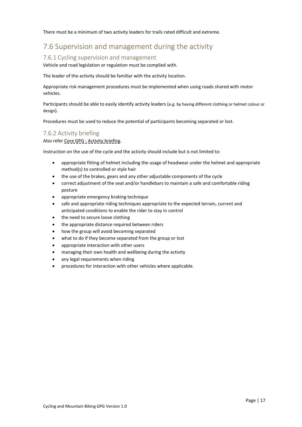There must be a minimum of two activity leaders for trails rated difficult and extreme.

# <span id="page-16-0"></span>7.6 Supervision and management during the activity

#### <span id="page-16-1"></span>7.6.1 Cycling supervision and management

Vehicle and road legislation or regulation must be complied with.

The leader of the activity should be familiar with the activity location.

Appropriate risk management procedures must be implemented when using roads shared with motor vehicles.

Participants should be able to easily identify activity leaders (e.g. by having different clothing or helmet colour or design).

Procedures must be used to reduce the potential of participants becoming separated or lost.

#### <span id="page-16-2"></span>7.6.2 Activity briefing

#### Also refer Core GPG - Activity briefing.

Instruction on the use of the cycle and the activity should include but is not limited to:

- appropriate fitting of helmet including the usage of headwear under the helmet and appropriate method(s) to controlled or style hair
- the use of the brakes, gears and any other adjustable components of the cycle
- correct adjustment of the seat and/or handlebars to maintain a safe and comfortable riding posture
- appropriate emergency braking technique
- safe and appropriate riding techniques appropriate to the expected terrain, current and anticipated conditions to enable the rider to stay in control
- the need to secure loose clothing
- the appropriate distance required between riders
- how the group will avoid becoming separated
- what to do if they become separated from the group or lost
- appropriate interaction with other users
- managing their own health and wellbeing during the activity
- any legal requirements when riding
- procedures for interaction with other vehicles where applicable.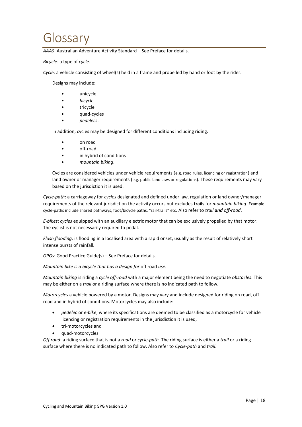# <span id="page-17-0"></span>Glossary

*AAAS*: Australian Adventure Activity Standard – See Preface for details.

*Bicycle:* a type of *cycle*.

*Cycle:* a vehicle consisting of wheel(s) held in a frame and propelled by hand or foot by the rider.

Designs may include:

- unicycle
- *bicycle*
- tricycle
- quad-cycles
- *pedelecs*.

In addition, cycles may be designed for different conditions including riding:

- on road
- off-road
- in hybrid of conditions
- *mountain biking*.

Cycles are considered vehicles under vehicle requirements (e.g. road rules, licencing or registration) and land owner or manager requirements (e.g. public land laws or regulations). These requirements may vary based on the jurisdiction it is used.

*Cycle-path*: a carriageway for *cycles* designated and defined under law, regulation or land owner/manager requirements of the relevant jurisdiction the activity occurs but excludes **trails** for *mountain biking*. Example cycle-paths include shared pathways, foot/bicycle paths, "rail-trails" etc. Also refer to *trail and off-road*.

*E-bikes*: *cycles* equipped with an auxiliary electric motor that can be exclusively propelled by that motor. The cyclist is not necessarily required to pedal.

*Flash flooding*: is flooding in a localised area with a rapid onset, usually as the result of relatively short intense bursts of rainfall.

*GPGs*: Good Practice Guide(s) – See Preface for details.

*Mountain bike is a bicycle that has a design for* off road *use.*

*Mountain biking* is riding a *cycle off-road* with a major element being the need to negotiate *obstacles*. This may be either on a *trail* or a riding surface where there is no indicated path to follow.

*Motorcycles* a vehicle powered by a motor. Designs may vary and include designed for riding on road, off road and in hybrid of conditions. Motorcycles may also include:

- *pedelec* or *e-bike*, where its specifications are deemed to be classified as a motorcycle for vehicle licencing or registration requirements in the jurisdiction it is used,
- tri-motorcycles and
- quad-motorcycles.

*Off road*: a riding surface that is not a *road* or *cycle-path*. The riding surface is either a *trail* or a riding surface where there is no indicated path to follow. Also refer to *Cycle-path* and *trail*.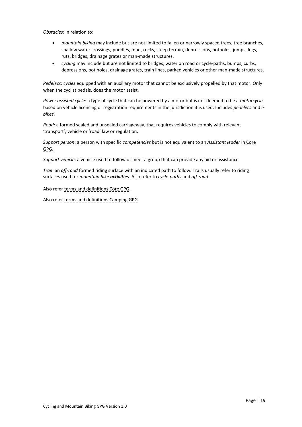*Obstacles*: in relation to:

- *mountain biking* may include but are not limited to fallen or narrowly spaced trees, tree branches, shallow water crossings, puddles, mud, rocks, steep terrain, depressions, potholes, jumps, logs, ruts, bridges, drainage grates or man-made structures.
- *cycling* may include but are not limited to bridges, water on road or cycle-paths, bumps, curbs, depressions, pot holes, drainage grates, train lines, parked vehicles or other man-made structures.

*Pedelecs*: *cycles* equipped with an auxiliary motor that cannot be exclusively propelled by that motor. Only when the cyclist pedals, does the motor assist.

*Power assisted cycle*: a type of cycle that can be powered by a motor but is not deemed to be a *motorcycle* based on vehicle licencing or registration requirements in the jurisdiction it is used. Includes *pedelecs* and *ebikes*.

*Road:* a formed sealed and unsealed carriageway, that requires vehicles to comply with relevant 'transport', vehicle or 'road' law or regulation.

*Support person*: a person with specific *competencies* but is not equivalent to an *Assistant leader* in Core GPG.

*Support vehicle*: a vehicle used to follow or meet a group that can provide any aid or assistance

*Trail*: an *off-road* formed riding surface with an indicated path to follow. Trails usually refer to riding surfaces used for *mountain bike activities*. Also refer to *cycle-paths* and *off-road*.

Also refer terms and definitions Core GPG.

Also refer terms and definitions Camping GPG.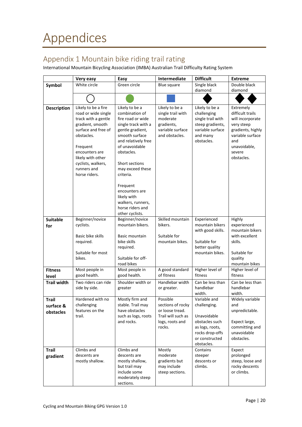# <span id="page-19-1"></span><span id="page-19-0"></span>Appendix 1 Mountain bike riding trail rating

International Mountain Bicycling Association (IMBA) Australian Trail Difficulty Rating System

|                                        | Very easy                                                                                                                                                                                                                           | Easy                                                                                                                                                                                                                                                                                                                                  | <b>Intermediate</b>                                                                                 | <b>Difficult</b>                                                                                                                    | <b>Extreme</b>                                                                                                                                          |
|----------------------------------------|-------------------------------------------------------------------------------------------------------------------------------------------------------------------------------------------------------------------------------------|---------------------------------------------------------------------------------------------------------------------------------------------------------------------------------------------------------------------------------------------------------------------------------------------------------------------------------------|-----------------------------------------------------------------------------------------------------|-------------------------------------------------------------------------------------------------------------------------------------|---------------------------------------------------------------------------------------------------------------------------------------------------------|
| Symbol                                 | White circle                                                                                                                                                                                                                        | Green circle                                                                                                                                                                                                                                                                                                                          | Blue square                                                                                         | Single black<br>diamond                                                                                                             | Double black<br>diamond                                                                                                                                 |
|                                        |                                                                                                                                                                                                                                     |                                                                                                                                                                                                                                                                                                                                       |                                                                                                     |                                                                                                                                     |                                                                                                                                                         |
| <b>Description</b>                     | Likely to be a fire<br>road or wide single<br>track with a gentle<br>gradient, smooth<br>surface and free of<br>obstacles.<br>Frequent<br>encounters are<br>likely with other<br>cyclists, walkers,<br>runners and<br>horse riders. | Likely to be a<br>combination of<br>fire road or wide<br>single track with a<br>gentle gradient,<br>smooth surface<br>and relatively free<br>of unavoidable<br>obstacles.<br>Short sections<br>may exceed these<br>criteria.<br>Frequent<br>encounters are<br>likely with<br>walkers, runners,<br>horse riders and<br>other cyclists. | Likely to be a<br>single trail with<br>moderate<br>gradients,<br>variable surface<br>and obstacles. | Likely to be a<br>challenging<br>single trail with<br>steep gradients,<br>variable surface<br>and many<br>obstacles.                | Extremely<br>difficult trails<br>will incorporate<br>very steep<br>gradients, highly<br>variable surface<br>and<br>unavoidable,<br>severe<br>obstacles. |
| <b>Suitable</b><br>for                 | Beginner/novice<br>cyclists.<br>Basic bike skills<br>required.<br>Suitable for most<br>bikes.                                                                                                                                       | Beginner/novice<br>mountain bikers.<br>Basic mountain<br>bike skills<br>required.<br>Suitable for off-<br>road bikes                                                                                                                                                                                                                  | Skilled mountain<br>bikers.<br>Suitable for<br>mountain bikes.                                      | Experienced<br>mountain bikers<br>with good skills.<br>Suitable for<br>better quality<br>mountain bikes.                            | Highly<br>experienced<br>mountain bikers<br>with excellent<br>skills.<br>Suitable for<br>quality<br>mountain bikes                                      |
| <b>Fitness</b><br>level                | Most people in<br>good health.                                                                                                                                                                                                      | Most people in<br>good health.                                                                                                                                                                                                                                                                                                        | A good standard<br>of fitness                                                                       | Higher level of<br>fitness                                                                                                          | Higher level of<br>fitness                                                                                                                              |
| <b>Trail width</b>                     | Two riders can ride<br>side by side.                                                                                                                                                                                                | Shoulder width or<br>greater                                                                                                                                                                                                                                                                                                          | Handlebar width<br>or greater.                                                                      | Can be less than<br>handlebar<br>width.                                                                                             | Can be less than<br>handlebar<br>width.                                                                                                                 |
| <b>Trail</b><br>surface &<br>obstacles | Hardened with no<br>challenging<br>features on the<br>trail.                                                                                                                                                                        | Mostly firm and<br>stable. Trail may<br>have obstacles<br>such as logs, roots<br>and rocks.                                                                                                                                                                                                                                           | Possible<br>sections of rocky<br>or loose tread.<br>Trail will such as<br>logs, roots and<br>rocks. | Variable and<br>challenging.<br>Unavoidable<br>obstacles such<br>as logs, roots,<br>rocks drop-offs<br>or constructed<br>obstacles. | Widely variable<br>and<br>unpredictable.<br>Expect large,<br>committing and<br>unavoidable<br>obstacles.                                                |
| <b>Trail</b><br>gradient               | Climbs and<br>descents are<br>mostly shallow.                                                                                                                                                                                       | Climbs and<br>descents are<br>mostly shallow,<br>but trail may<br>include some<br>moderately steep<br>sections.                                                                                                                                                                                                                       | Mostly<br>moderate<br>gradients but<br>may include<br>steep sections.                               | Contains<br>steeper<br>descents or<br>climbs.                                                                                       | Expect<br>prolonged<br>steep, loose and<br>rocky descents<br>or climbs.                                                                                 |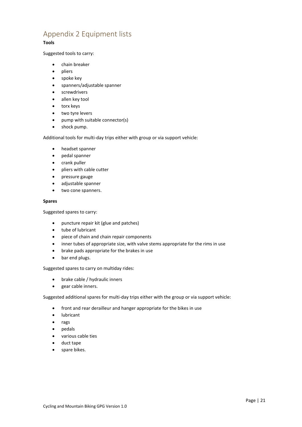# <span id="page-20-0"></span>Appendix 2 Equipment lists

#### **Tools**

Suggested tools to carry:

- chain breaker
- pliers
- spoke key
- spanners/adjustable spanner
- screwdrivers
- allen key tool
- torx keys
- two tyre levers
- pump with suitable connector(s)
- shock pump.

Additional tools for multi-day trips either with group or via support vehicle:

- headset spanner
- pedal spanner
- crank puller
- pliers with cable cutter
- pressure gauge
- adjustable spanner
- two cone spanners.

#### **Spares**

Suggested spares to carry:

- puncture repair kit (glue and patches)
- tube of lubricant
- piece of chain and chain repair components
- inner tubes of appropriate size, with valve stems appropriate for the rims in use
- brake pads appropriate for the brakes in use
- bar end plugs.

#### Suggested spares to carry on multiday rides:

- brake cable / hydraulic inners
- gear cable inners.

Suggested additional spares for multi-day trips either with the group or via support vehicle:

- front and rear derailleur and hanger appropriate for the bikes in use
- lubricant
- rags
- pedals
- various cable ties
- duct tape
- spare bikes.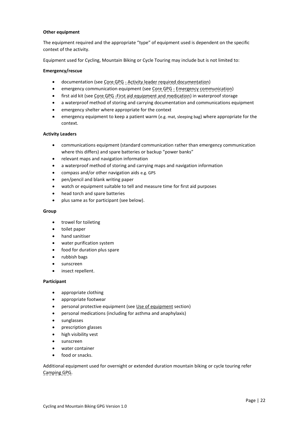#### **Other equipment**

The equipment required and the appropriate "type" of equipment used is dependent on the specific context of the activity.

Equipment used for Cycling, Mountain Biking or Cycle Touring may include but is not limited to:

#### **Emergency/rescue**

- documentation (see Core GPG Activity leader required documentation)
- emergency communication equipment (see Core GPG Emergency communication)
- first aid kit (see Core GPG First aid equipment and medication) in waterproof storage
- a waterproof method of storing and carrying documentation and communications equipment
- emergency shelter where appropriate for the context
- emergency equipment to keep a patient warm (e.g. mat, sleeping bag) where appropriate for the context.

#### **Activity Leaders**

- communications equipment (standard communication rather than emergency communication where this differs) and spare batteries or backup "power banks"
- relevant maps and navigation information
- a waterproof method of storing and carrying maps and navigation information
- compass and/or other navigation aids e.g. GPS
- pen/pencil and blank writing paper
- watch or equipment suitable to tell and measure time for first aid purposes
- head torch and spare batteries
- plus same as for participant (see below).

#### **Group**

- trowel for toileting
- toilet paper
- hand sanitiser
- water purification system
- food for duration plus spare
- rubbish bags
- sunscreen
- insect repellent.

#### **Participant**

- appropriate clothing
- appropriate footwear
- personal protective equipment (se[e Use of equipment](#page-11-0) section)
- personal medications (including for asthma and anaphylaxis)
- sunglasses
- prescription glasses
- high visibility vest
- sunscreen
- water container
- food or snacks.

Additional equipment used for overnight or extended duration mountain biking or cycle touring refer Camping GPG.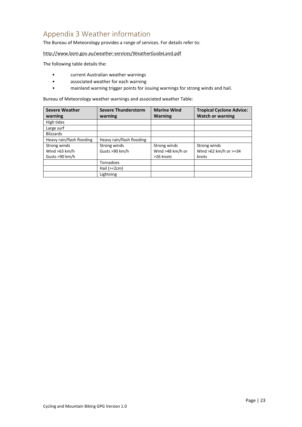# <span id="page-22-0"></span>Appendix 3 Weather information

The Bureau of Meteorology provides a range of services. For details refer to:

http://www.bom.gov.au/weather-services/WeatherGuideLand.pdf

The following table details the:

- current Australian weather warnings
- associated weather for each warning
- mainland warning trigger points for issuing warnings for strong winds and hail.

Bureau of Meteorology weather warnings and associated weather Table:

| <b>Severe Weather</b>     | <b>Severe Thunderstorm</b> | <b>Marine Wind</b> | <b>Tropical Cyclone Advice:</b> |
|---------------------------|----------------------------|--------------------|---------------------------------|
| warning                   | warning                    | <b>Warning</b>     | <b>Watch or warning</b>         |
| High tides                |                            |                    |                                 |
| Large surf                |                            |                    |                                 |
| <b>Blizzards</b>          |                            |                    |                                 |
| Heavy rain/flash flooding | Heavy rain/flash flooding  |                    |                                 |
| Strong winds              | Strong winds               | Strong winds       | Strong winds                    |
| Wind $>63$ km/h           | Gusts >90 km/h             | Wind >48 km/h or   | Wind $>62$ km/h or $>=34$       |
| Gusts >90 km/h            |                            | >26 knots          | knots                           |
|                           | Tornadoes                  |                    |                                 |
|                           | Hail $(>=2cm)$             |                    |                                 |
|                           | Lightning                  |                    |                                 |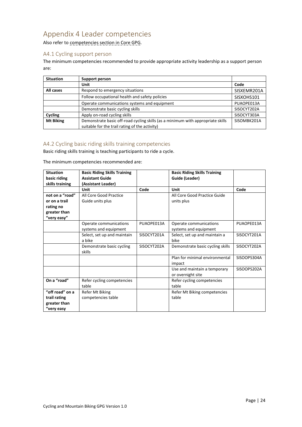# <span id="page-23-2"></span>Appendix 4 Leader competencies

Also refer to competencies section in Core GPG.

#### <span id="page-23-0"></span>A4.1 Cycling support person

The minimum competencies recommended to provide appropriate activity leadership as a support person are:

| <b>Situation</b> | Support person                                                                  |             |
|------------------|---------------------------------------------------------------------------------|-------------|
|                  | Unit                                                                            | Code        |
| All cases        | Respond to emergency situations                                                 | SISXEMR201A |
|                  | Follow occupational health and safety policies                                  | SISXOHS101  |
|                  | Operate communications systems and equipment                                    | PUAOPE013A  |
|                  | Demonstrate basic cycling skills                                                | SISOCYT202A |
| Cycling          | Apply on-road cycling skills                                                    | SISOCYT303A |
| <b>Mt Biking</b> | Demonstrate basic off-road cycling skills (as a minimum with appropriate skills | SISOMBK201A |
|                  | suitable for the trail rating of the activity)                                  |             |

#### <span id="page-23-1"></span>A4.2 Cycling basic riding skills training competencies

Basic riding skills training is teaching participants to ride a cycle.

The minimum competencies recommended are:

| <b>Situation</b><br>basic riding<br>skills training                          | <b>Basic Riding Skills Training</b><br><b>Assistant Guide</b><br>(Assistant Leader) |             | <b>Basic Riding Skills Training</b><br>Guide (Leader) |             |
|------------------------------------------------------------------------------|-------------------------------------------------------------------------------------|-------------|-------------------------------------------------------|-------------|
|                                                                              | Unit                                                                                | Code        | Unit                                                  | Code        |
| not on a "road"<br>or on a trail<br>rating no<br>greater than<br>"very easy" | All Core Good Practice<br>Guide units plus                                          |             | All Core Good Practice Guide<br>units plus            |             |
|                                                                              | Operate communications<br>systems and equipment                                     | PUAOPE013A  | Operate communications<br>systems and equipment       | PUAOPE013A  |
|                                                                              | Select, set up and maintain<br>a bike                                               | SISOCYT201A | Select, set up and maintain a<br>bike                 | SISOCYT201A |
|                                                                              | Demonstrate basic cycling<br>skills                                                 | SISOCYT202A | Demonstrate basic cycling skills                      | SISOCYT202A |
|                                                                              |                                                                                     |             | Plan for minimal environmental<br>impact              | SISOOPS304A |
|                                                                              |                                                                                     |             | Use and maintain a temporary<br>or overnight site     | SISOOPS202A |
| On a "road"                                                                  | Refer cycling competencies<br>table                                                 |             | Refer cycling competencies<br>table                   |             |
| "off road" on a<br>trail rating<br>greater than<br>"very easy                | Refer Mt Biking<br>competencies table                                               |             | Refer Mt Biking competencies<br>table                 |             |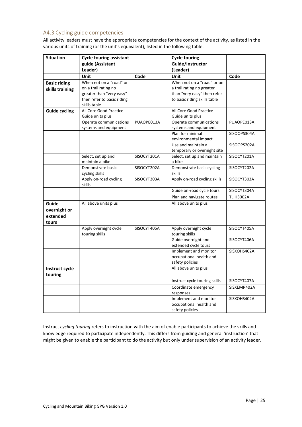#### <span id="page-24-0"></span>A4.3 Cycling guide competencies

All activity leaders must have the appropriate competencies for the context of the activity, as listed in the various units of training (or the unit's equivalent), listed in the following table.

| <b>Situation</b>     | <b>Cycle touring assistant</b>        |             | <b>Cycle touring</b>                          |                  |
|----------------------|---------------------------------------|-------------|-----------------------------------------------|------------------|
|                      | guide (Assistant                      |             | Guide/Instructor                              |                  |
|                      | Leader)                               |             | (Leader)                                      |                  |
|                      | Unit                                  | Code        | Unit                                          | Code             |
| <b>Basic riding</b>  | When not on a "road" or               |             | When not on a "road" or on                    |                  |
| skills training      | on a trail rating no                  |             | a trail rating no greater                     |                  |
|                      | greater than "very easy"              |             | than "very easy" then refer                   |                  |
|                      | then refer to basic riding            |             | to basic riding skills table                  |                  |
|                      | skills table                          |             |                                               |                  |
| <b>Guide cycling</b> | All Core Good Practice                |             | All Core Good Practice                        |                  |
|                      | Guide units plus                      |             | Guide units plus                              |                  |
|                      | Operate communications                | PUAOPE013A  | Operate communications                        | PUAOPE013A       |
|                      | systems and equipment                 |             | systems and equipment                         |                  |
|                      |                                       |             | Plan for minimal                              | SISOOPS304A      |
|                      |                                       |             | environmental impact                          |                  |
|                      |                                       |             | Use and maintain a                            | SISOOPS202A      |
|                      |                                       |             | temporary or overnight site                   |                  |
|                      | Select, set up and<br>maintain a bike | SISOCYT201A | Select, set up and maintain<br>a bike         | SISOCYT201A      |
|                      | Demonstrate basic                     | SISOCYT202A | Demonstrate basic cycling                     | SISOCYT202A      |
|                      | cycling skills                        |             | skills                                        |                  |
|                      | Apply on-road cycling<br>skills       | SISOCYT303A | Apply on-road cycling skills                  | SISOCYT303A      |
|                      |                                       |             | Guide on-road cycle tours                     | SISOCYT304A      |
|                      |                                       |             | Plan and navigate routes                      | <b>TLIH3002A</b> |
| Guide                | All above units plus                  |             | All above units plus                          |                  |
| overnight or         |                                       |             |                                               |                  |
| extended             |                                       |             |                                               |                  |
| tours                |                                       |             |                                               |                  |
|                      | Apply overnight cycle                 | SISOCYT405A | Apply overnight cycle                         | SISOCYT405A      |
|                      | touring skills                        |             | touring skills                                |                  |
|                      |                                       |             | Guide overnight and                           | SISOCYT406A      |
|                      |                                       |             | extended cycle tours<br>Implement and monitor |                  |
|                      |                                       |             | occupational health and                       | SISXOHS402A      |
|                      |                                       |             | safety policies                               |                  |
| Instruct cycle       |                                       |             | All above units plus                          |                  |
|                      |                                       |             |                                               |                  |
| touring              |                                       |             |                                               |                  |
|                      |                                       |             | Instruct cycle touring skills                 | SISOCYT407A      |
|                      |                                       |             | Coordinate emergency<br>responses             | SISXEMR402A      |
|                      |                                       |             | Implement and monitor                         | SISXOHS402A      |
|                      |                                       |             | occupational health and                       |                  |
|                      |                                       |             | safety policies                               |                  |

Instruct *cycling touring* refers to instruction with the aim of enable participants to achieve the skills and knowledge required to participate independently. This differs from guiding and general 'instruction' that might be given to enable the participant to do the activity but only under supervision of an activity leader.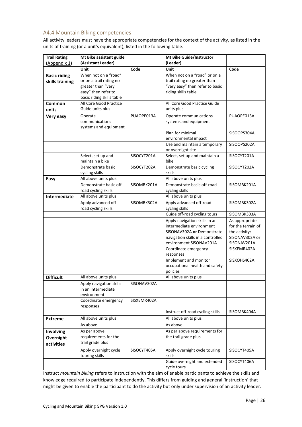#### <span id="page-25-0"></span>A4.4 Mountain Biking competencies

All activity leaders must have the appropriate competencies for the context of the activity, as listed in the units of training (or a unit's equivalent), listed in the following table.

| <b>Trail Rating</b>                    | Mt Bike assistant guide                                                                                                   |             | Mt Bike Guide/Instructor                                                                                                                                                        |                                                                                                       |
|----------------------------------------|---------------------------------------------------------------------------------------------------------------------------|-------------|---------------------------------------------------------------------------------------------------------------------------------------------------------------------------------|-------------------------------------------------------------------------------------------------------|
| (Appendix 1)                           | (Assistant Leader)                                                                                                        |             | (Leader)                                                                                                                                                                        |                                                                                                       |
|                                        | <b>Unit</b>                                                                                                               | Code        | Unit                                                                                                                                                                            | Code                                                                                                  |
| <b>Basic riding</b><br>skills training | When not on a "road"<br>or on a trail rating no<br>greater than "very<br>easy" then refer to<br>basic riding skills table |             | When not on a "road" or on a<br>trail rating no greater than<br>"very easy" then refer to basic<br>riding skills table                                                          |                                                                                                       |
| Common                                 | All Core Good Practice                                                                                                    |             | All Core Good Practice Guide                                                                                                                                                    |                                                                                                       |
| units                                  | Guide units plus                                                                                                          |             | units plus                                                                                                                                                                      |                                                                                                       |
| Very easy                              | Operate<br>communications<br>systems and equipment                                                                        | PUAOPE013A  | Operate communications<br>systems and equipment                                                                                                                                 | PUAOPE013A                                                                                            |
|                                        |                                                                                                                           |             | Plan for minimal<br>environmental impact                                                                                                                                        | SISOOPS304A                                                                                           |
|                                        |                                                                                                                           |             | Use and maintain a temporary<br>or overnight site                                                                                                                               | SISOOPS202A                                                                                           |
|                                        | Select, set up and<br>maintain a bike                                                                                     | SISOCYT201A | Select, set up and maintain a<br>bike                                                                                                                                           | SISOCYT201A                                                                                           |
|                                        | Demonstrate basic<br>cycling skills                                                                                       | SISOCYT202A | Demonstrate basic cycling<br>skills                                                                                                                                             | SISOCYT202A                                                                                           |
| Easy                                   | All above units plus                                                                                                      |             | All above units plus                                                                                                                                                            |                                                                                                       |
|                                        | Demonstrate basic off-<br>road cycling skills                                                                             | SISOMBK201A | Demonstrate basic off-road<br>cycling skills                                                                                                                                    | SISOMBK201A                                                                                           |
| <b>Intermediate</b>                    | All above units plus                                                                                                      |             | All above units plus                                                                                                                                                            |                                                                                                       |
|                                        | Apply advanced off-<br>road cycling skills                                                                                | SISOMBK302A | Apply advanced off-road<br>cycling skills                                                                                                                                       | SISOMBK302A                                                                                           |
|                                        |                                                                                                                           |             | Guide off-road cycling tours                                                                                                                                                    | SISOMBK303A                                                                                           |
|                                        |                                                                                                                           |             | Apply navigation skills in an<br>intermediate environment<br>SISONAV302A or Demonstrate<br>navigation skills in a controlled<br>environment SISONAV201A<br>Coordinate emergency | As appropriate<br>for the terrain of<br>the activity:<br>SISONAV302A or<br>SISONAV201A<br>SISXEMR402A |
|                                        |                                                                                                                           |             | responses                                                                                                                                                                       |                                                                                                       |
|                                        |                                                                                                                           |             | Implement and monitor<br>occupational health and safety<br>policies                                                                                                             | SISXOHS402A                                                                                           |
| <b>Difficult</b>                       | All above units plus                                                                                                      |             | All above units plus                                                                                                                                                            |                                                                                                       |
|                                        | Apply navigation skills<br>in an intermediate<br>environment                                                              | SISONAV302A |                                                                                                                                                                                 |                                                                                                       |
|                                        | Coordinate emergency<br>responses                                                                                         | SISXEMR402A |                                                                                                                                                                                 |                                                                                                       |
|                                        |                                                                                                                           |             | Instruct off-road cycling skills                                                                                                                                                | SISOMBK404A                                                                                           |
| <b>Extreme</b>                         | All above units plus                                                                                                      |             | All above units plus                                                                                                                                                            |                                                                                                       |
|                                        | As above                                                                                                                  |             | As above                                                                                                                                                                        |                                                                                                       |
| Involving<br>Overnight<br>activities   | As per above<br>requirements for the<br>trail grade plus                                                                  |             | As per above requirements for<br>the trail grade plus                                                                                                                           |                                                                                                       |
|                                        | Apply overnight cycle<br>touring skills                                                                                   | SISOCYT405A | Apply overnight cycle touring<br>skills                                                                                                                                         | SISOCYT405A                                                                                           |
|                                        |                                                                                                                           |             | Guide overnight and extended<br>cycle tours                                                                                                                                     | SISOCYT406A                                                                                           |

Instruct *mountain biking* refers to instruction with the aim of enable participants to achieve the skills and knowledge required to participate independently. This differs from guiding and general 'instruction' that might be given to enable the participant to do the activity but only under supervision of an activity leader.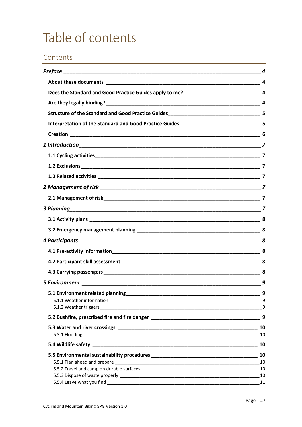# <span id="page-26-0"></span>Table of contents

# Contents

|                                                                                    | 4 |
|------------------------------------------------------------------------------------|---|
|                                                                                    |   |
|                                                                                    |   |
|                                                                                    |   |
| Structure of the Standard and Good Practice Guides_______________________________5 |   |
|                                                                                    |   |
|                                                                                    |   |
|                                                                                    |   |
|                                                                                    |   |
|                                                                                    |   |
|                                                                                    |   |
|                                                                                    |   |
|                                                                                    |   |
|                                                                                    |   |
|                                                                                    |   |
|                                                                                    |   |
|                                                                                    |   |
|                                                                                    |   |
|                                                                                    |   |
|                                                                                    |   |
|                                                                                    | 9 |
|                                                                                    |   |
|                                                                                    |   |
|                                                                                    | 9 |
|                                                                                    |   |
|                                                                                    |   |
|                                                                                    |   |
|                                                                                    |   |
|                                                                                    |   |
|                                                                                    |   |
|                                                                                    |   |
|                                                                                    |   |
|                                                                                    |   |